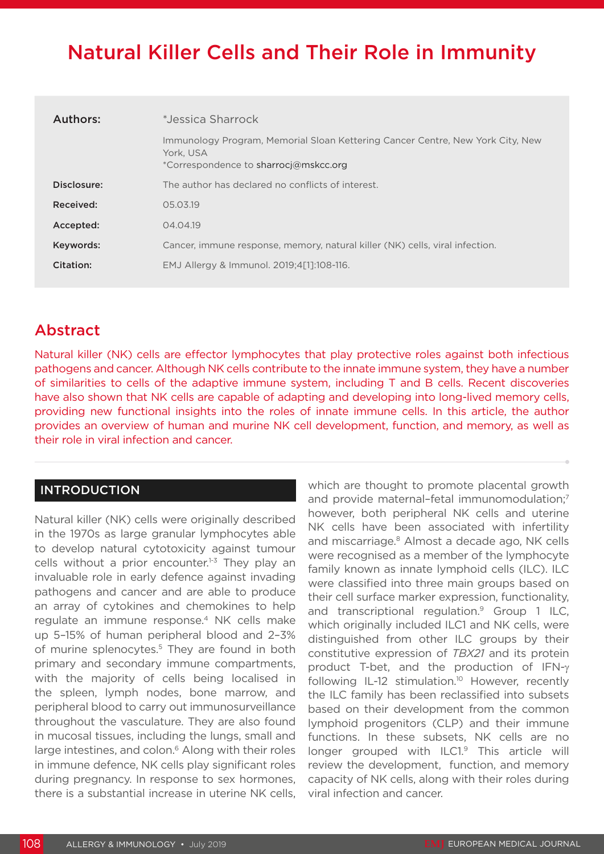# Natural Killer Cells and Their Role in Immunity

| Authors:    | *Jessica Sharrock                                                                                                                    |
|-------------|--------------------------------------------------------------------------------------------------------------------------------------|
|             | Immunology Program, Memorial Sloan Kettering Cancer Centre, New York City, New<br>York, USA<br>*Correspondence to sharrocj@mskcc.org |
| Disclosure: | The author has declared no conflicts of interest.                                                                                    |
| Received:   | 05.03.19                                                                                                                             |
| Accepted:   | 04.04.19                                                                                                                             |
| Keywords:   | Cancer, immune response, memory, natural killer (NK) cells, viral infection.                                                         |
| Citation:   | EMJ Allergy & Immunol. 2019;4[1]:108-116.                                                                                            |

# Abstract

Natural killer (NK) cells are effector lymphocytes that play protective roles against both infectious pathogens and cancer. Although NK cells contribute to the innate immune system, they have a number of similarities to cells of the adaptive immune system, including T and B cells. Recent discoveries have also shown that NK cells are capable of adapting and developing into long-lived memory cells, providing new functional insights into the roles of innate immune cells. In this article, the author provides an overview of human and murine NK cell development, function, and memory, as well as their role in viral infection and cancer.

# INTRODUCTION

Natural killer (NK) cells were originally described in the 1970s as large granular lymphocytes able to develop natural cytotoxicity against tumour cells without a prior encounter.<sup>1-3</sup> They play an invaluable role in early defence against invading pathogens and cancer and are able to produce an array of cytokines and chemokines to help regulate an immune response.4 NK cells make up 5–15% of human peripheral blood and 2–3% of murine splenocytes.<sup>5</sup> They are found in both primary and secondary immune compartments, with the majority of cells being localised in the spleen, lymph nodes, bone marrow, and peripheral blood to carry out immunosurveillance throughout the vasculature. They are also found in mucosal tissues, including the lungs, small and large intestines, and colon.<sup>6</sup> Along with their roles in immune defence, NK cells play significant roles during pregnancy. In response to sex hormones, there is a substantial increase in uterine NK cells,

which are thought to promote placental growth and provide maternal-fetal immunomodulation;<sup>7</sup> however, both peripheral NK cells and uterine NK cells have been associated with infertility and miscarriage.<sup>8</sup> Almost a decade ago, NK cells were recognised as a member of the lymphocyte family known as innate lymphoid cells (ILC). ILC were classified into three main groups based on their cell surface marker expression, functionality, and transcriptional regulation.<sup>9</sup> Group 1 ILC, which originally included ILC1 and NK cells, were distinguished from other ILC groups by their constitutive expression of *TBX21* and its protein product T-bet, and the production of IFN-γ following IL-12 stimulation.<sup>10</sup> However, recently the ILC family has been reclassified into subsets based on their development from the common lymphoid progenitors (CLP) and their immune functions. In these subsets, NK cells are no longer grouped with ILC1.<sup>9</sup> This article will review the development, function, and memory capacity of NK cells, along with their roles during viral infection and cancer.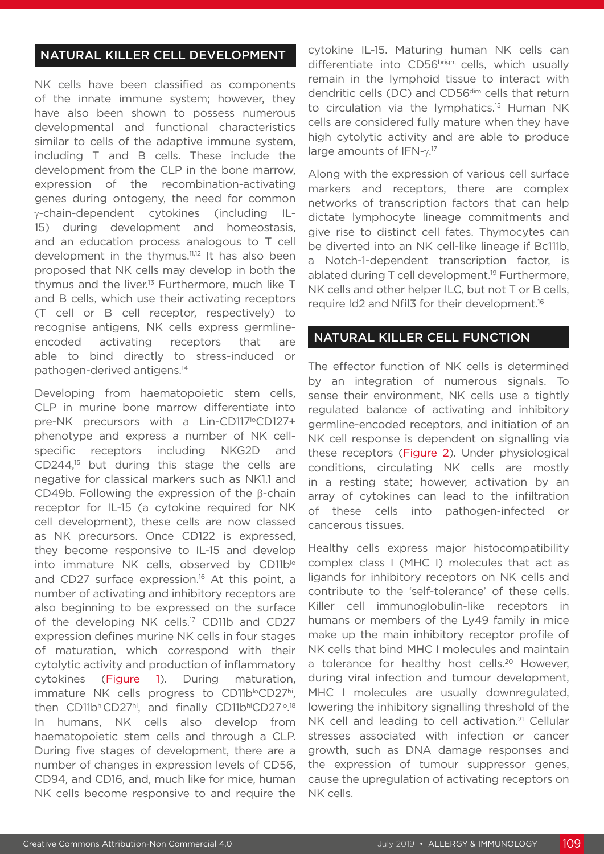# NATURAL KILLER CELL DEVELOPMENT

NK cells have been classified as components of the innate immune system; however, they have also been shown to possess numerous developmental and functional characteristics similar to cells of the adaptive immune system, including T and B cells. These include the development from the CLP in the bone marrow, expression of the recombination-activating genes during ontogeny, the need for common γ-chain-dependent cytokines (including IL-15) during development and homeostasis, and an education process analogous to T cell development in the thymus.<sup>11,12</sup> It has also been proposed that NK cells may develop in both the thymus and the liver.<sup>13</sup> Furthermore, much like T and B cells, which use their activating receptors (T cell or B cell receptor, respectively) to recognise antigens, NK cells express germlineencoded activating receptors that are able to bind directly to stress-induced or pathogen-derived antigens.14

Developing from haematopoietic stem cells, CLP in murine bone marrow differentiate into pre-NK precursors with a Lin-CD117<sup>to</sup>CD127+ phenotype and express a number of NK cellspecific receptors including NKG2D and CD244,15 but during this stage the cells are negative for classical markers such as NK1.1 and CD49b. Following the expression of the β-chain receptor for IL-15 (a cytokine required for NK cell development), these cells are now classed as NK precursors. Once CD122 is expressed, they become responsive to IL-15 and develop into immature NK cells, observed by CD11b<sup>lo</sup> and CD27 surface expression.<sup>16</sup> At this point, a number of activating and inhibitory receptors are also beginning to be expressed on the surface of the developing NK cells.<sup>17</sup> CD11b and CD27 expression defines murine NK cells in four stages of maturation, which correspond with their cytolytic activity and production of inflammatory cytokines (Figure 1). During maturation, immature NK cells progress to CD11b<sup>lo</sup>CD27hi, then CD11bhiCD27hi, and finally CD11bhiCD27<sup>10</sup>.<sup>18</sup> In humans, NK cells also develop from haematopoietic stem cells and through a CLP. During five stages of development, there are a number of changes in expression levels of CD56, CD94, and CD16, and, much like for mice, human NK cells become responsive to and require the

cytokine IL-15. Maturing human NK cells can differentiate into CD56bright cells, which usually remain in the lymphoid tissue to interact with dendritic cells (DC) and CD56<sup>dim</sup> cells that return to circulation via the lymphatics.<sup>15</sup> Human NK cells are considered fully mature when they have high cytolytic activity and are able to produce large amounts of IFN-γ.<sup>17</sup>

Along with the expression of various cell surface markers and receptors, there are complex networks of transcription factors that can help dictate lymphocyte lineage commitments and give rise to distinct cell fates. Thymocytes can be diverted into an NK cell-like lineage if Bc111b, a Notch-1-dependent transcription factor, is ablated during T cell development.<sup>19</sup> Furthermore, NK cells and other helper ILC, but not T or B cells, require Id2 and Nfil3 for their development.16

## NATURAL KILLER CELL FUNCTION

The effector function of NK cells is determined by an integration of numerous signals. To sense their environment, NK cells use a tightly regulated balance of activating and inhibitory germline-encoded receptors, and initiation of an NK cell response is dependent on signalling via these receptors (Figure 2). Under physiological conditions, circulating NK cells are mostly in a resting state; however, activation by an array of cytokines can lead to the infiltration of these cells into pathogen-infected or cancerous tissues.

Healthy cells express major histocompatibility complex class I (MHC I) molecules that act as ligands for inhibitory receptors on NK cells and contribute to the 'self-tolerance' of these cells. Killer cell immunoglobulin-like receptors in humans or members of the Ly49 family in mice make up the main inhibitory receptor profile of NK cells that bind MHC I molecules and maintain a tolerance for healthy host cells.<sup>20</sup> However, during viral infection and tumour development, MHC I molecules are usually downregulated, lowering the inhibitory signalling threshold of the NK cell and leading to cell activation.<sup>21</sup> Cellular stresses associated with infection or cancer growth, such as DNA damage responses and the expression of tumour suppressor genes, cause the upregulation of activating receptors on NK cells.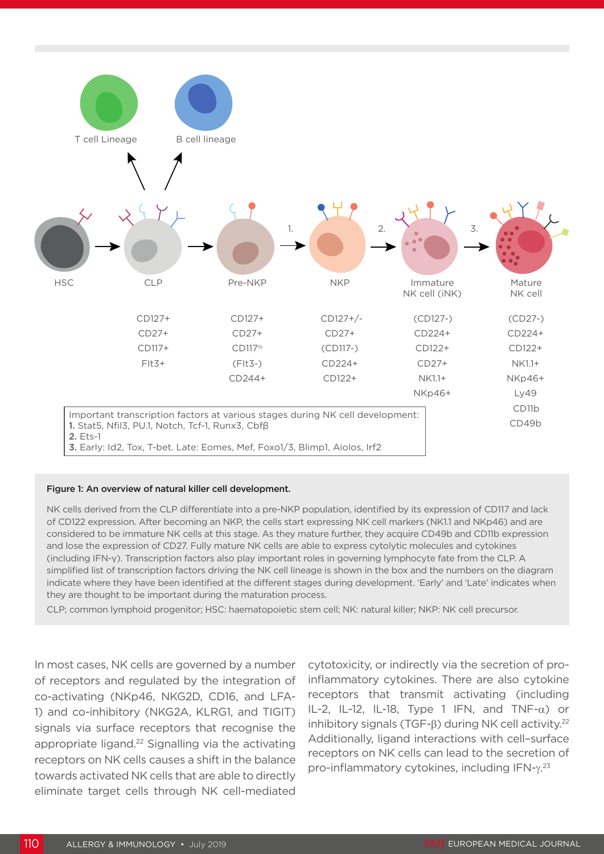

#### Figure 1: An overview of natural killer cell development.

NK cells derived from the CLP differentiate into a pre-NKP population, identified by its expression of CD117 and lack of CD122 expression. After becoming an NKP, the cells start expressing NK cell markers (NK1.1 and NKp46) and are considered to be immature NK cells at this stage. As they mature further, they acquire CD49b and CD11b expression and lose the expression of CD27. Fully mature NK cells are able to express cytolytic molecules and cytokines (including IFN-γ). Transcription factors also play important roles in governing lymphocyte fate from the CLP. A simplified list of transcription factors driving the NK cell lineage is shown in the box and the numbers on the diagram indicate where they have been identified at the different stages during development. 'Early' and 'Late' indicates when they are thought to be important during the maturation process.

CLP; common lymphoid progenitor; HSC: haematopoietic stem cell; NK: natural killer; NKP: NK cell precursor.

In most cases, NK cells are governed by a number of receptors and regulated by the integration of co-activating (NKp46, NKG2D, CD16, and LFA-1) and co-inhibitory (NKG2A, KLRG1, and TIGIT) signals via surface receptors that recognise the appropriate ligand.<sup>22</sup> Signalling via the activating receptors on NK cells causes a shift in the balance towards activated NK cells that are able to directly eliminate target cells through NK cell-mediated

cytotoxicity, or indirectly via the secretion of proinflammatory cytokines. There are also cytokine receptors that transmit activating (including IL-2, IL-12, IL-18, Type 1 IFN, and TNF- $\alpha$ ) or inhibitory signals (TGF-β) during NK cell activity.<sup>22</sup> Additionally, ligand interactions with cell–surface receptors on NK cells can lead to the secretion of pro-inflammatory cytokines, including IFN-γ.<sup>23</sup>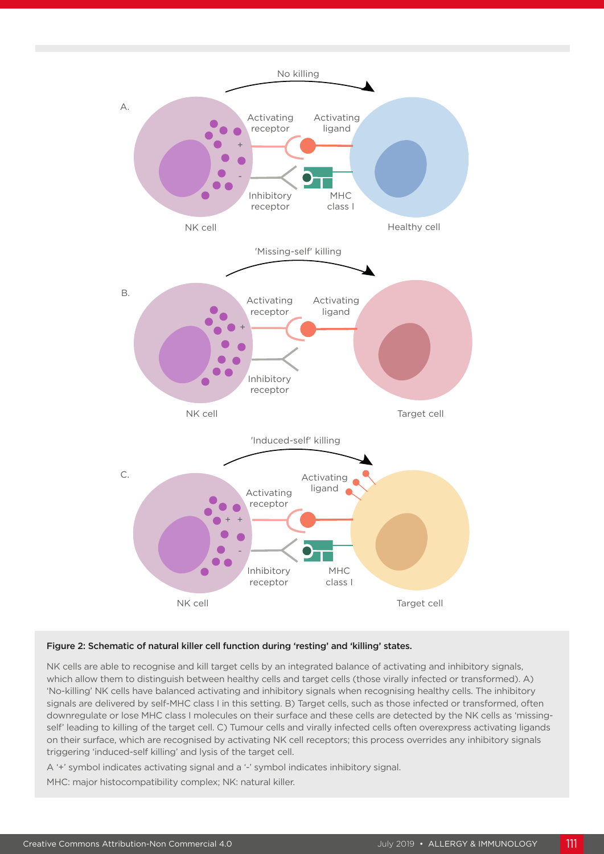

#### Figure 2: Schematic of natural killer cell function during 'resting' and 'killing' states.

NK cells are able to recognise and kill target cells by an integrated balance of activating and inhibitory signals, which allow them to distinguish between healthy cells and target cells (those virally infected or transformed). A) 'No-killing' NK cells have balanced activating and inhibitory signals when recognising healthy cells. The inhibitory signals are delivered by self-MHC class I in this setting. B) Target cells, such as those infected or transformed, often downregulate or lose MHC class I molecules on their surface and these cells are detected by the NK cells as 'missingself' leading to killing of the target cell. C) Tumour cells and virally infected cells often overexpress activating ligands on their surface, which are recognised by activating NK cell receptors; this process overrides any inhibitory signals triggering 'induced-self killing' and lysis of the target cell.

A '+' symbol indicates activating signal and a '-' symbol indicates inhibitory signal.

MHC: major histocompatibility complex; NK: natural killer.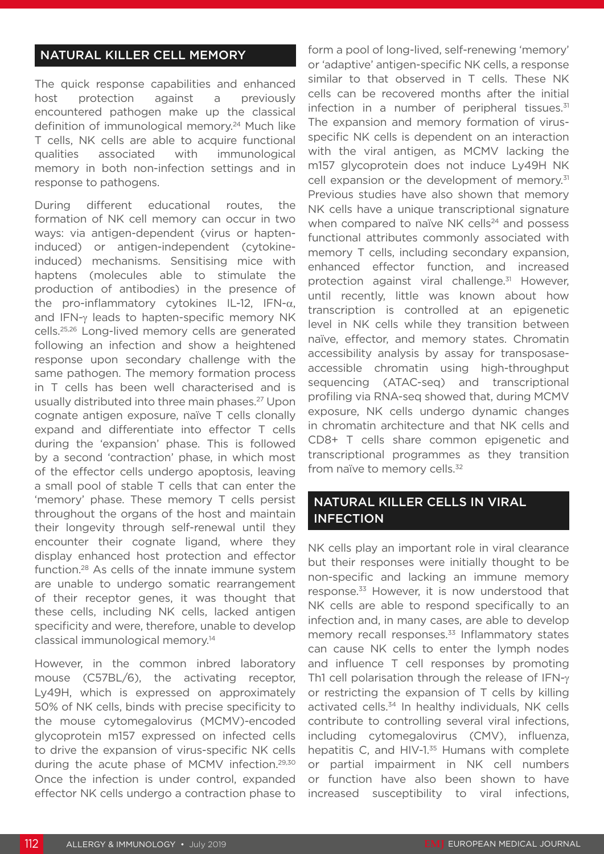# NATURAL KILLER CELL MEMORY

The quick response capabilities and enhanced host protection against a previously encountered pathogen make up the classical definition of immunological memory.<sup>24</sup> Much like T cells, NK cells are able to acquire functional qualities associated with immunological memory in both non-infection settings and in response to pathogens.

During different educational routes, the formation of NK cell memory can occur in two ways: via antigen-dependent (virus or hapteninduced) or antigen-independent (cytokineinduced) mechanisms. Sensitising mice with haptens (molecules able to stimulate the production of antibodies) in the presence of the pro-inflammatory cytokines IL-12, IFN-α, and IFN-γ leads to hapten-specific memory NK cells.25,26 Long-lived memory cells are generated following an infection and show a heightened response upon secondary challenge with the same pathogen. The memory formation process in T cells has been well characterised and is usually distributed into three main phases.<sup>27</sup> Upon cognate antigen exposure, naïve T cells clonally expand and differentiate into effector T cells during the 'expansion' phase. This is followed by a second 'contraction' phase, in which most of the effector cells undergo apoptosis, leaving a small pool of stable T cells that can enter the 'memory' phase. These memory T cells persist throughout the organs of the host and maintain their longevity through self-renewal until they encounter their cognate ligand, where they display enhanced host protection and effector function.28 As cells of the innate immune system are unable to undergo somatic rearrangement of their receptor genes, it was thought that these cells, including NK cells, lacked antigen specificity and were, therefore, unable to develop classical immunological memory.14

However, in the common inbred laboratory mouse (C57BL/6), the activating receptor, Ly49H, which is expressed on approximately 50% of NK cells, binds with precise specificity to the mouse cytomegalovirus (MCMV)-encoded glycoprotein m157 expressed on infected cells to drive the expansion of virus-specific NK cells during the acute phase of MCMV infection.29,30 Once the infection is under control, expanded effector NK cells undergo a contraction phase to

form a pool of long-lived, self-renewing 'memory' or 'adaptive' antigen-specific NK cells, a response similar to that observed in T cells. These NK cells can be recovered months after the initial infection in a number of peripheral tissues. $31$ The expansion and memory formation of virusspecific NK cells is dependent on an interaction with the viral antigen, as MCMV lacking the m157 glycoprotein does not induce Ly49H NK cell expansion or the development of memory.<sup>31</sup> Previous studies have also shown that memory NK cells have a unique transcriptional signature when compared to naïve NK cells<sup>24</sup> and possess functional attributes commonly associated with memory T cells, including secondary expansion, enhanced effector function, and increased protection against viral challenge.<sup>31</sup> However, until recently, little was known about how transcription is controlled at an epigenetic level in NK cells while they transition between naïve, effector, and memory states. Chromatin accessibility analysis by assay for transposaseaccessible chromatin using high-throughput sequencing (ATAC-seq) and transcriptional profiling via RNA-seq showed that, during MCMV exposure, NK cells undergo dynamic changes in chromatin architecture and that NK cells and CD8+ T cells share common epigenetic and transcriptional programmes as they transition from naïve to memory cells. $32$ 

# NATURAL KILLER CELLS IN VIRAL INFECTION

NK cells play an important role in viral clearance but their responses were initially thought to be non-specific and lacking an immune memory response.<sup>33</sup> However, it is now understood that NK cells are able to respond specifically to an infection and, in many cases, are able to develop memory recall responses.<sup>33</sup> Inflammatory states can cause NK cells to enter the lymph nodes and influence T cell responses by promoting Th1 cell polarisation through the release of IFN-γ or restricting the expansion of T cells by killing activated cells.<sup>34</sup> In healthy individuals, NK cells contribute to controlling several viral infections, including cytomegalovirus (CMV), influenza, hepatitis C, and HIV-1.<sup>35</sup> Humans with complete or partial impairment in NK cell numbers or function have also been shown to have increased susceptibility to viral infections,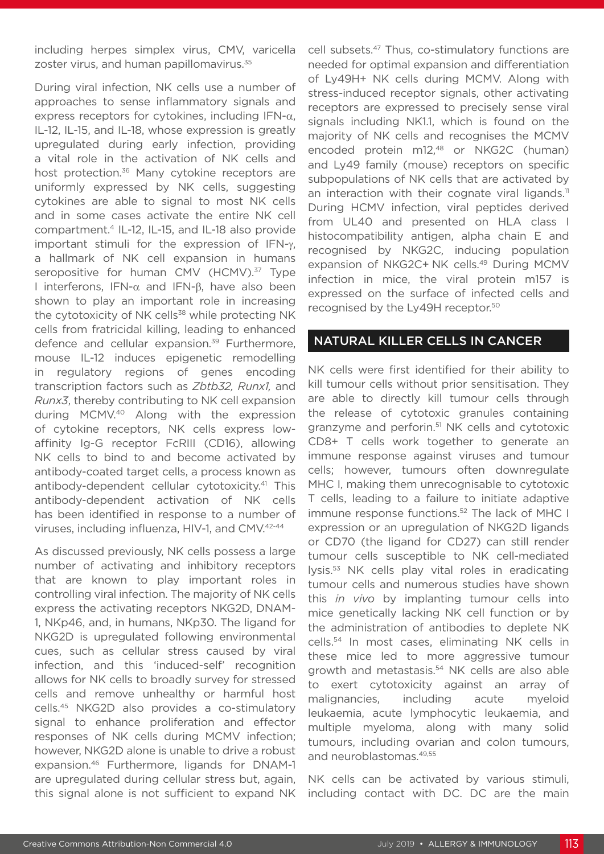including herpes simplex virus, CMV, varicella zoster virus, and human papillomavirus.<sup>35</sup>

During viral infection, NK cells use a number of approaches to sense inflammatory signals and express receptors for cytokines, including IFN- $\alpha$ , IL-12, IL-15, and IL-18, whose expression is greatly upregulated during early infection, providing a vital role in the activation of NK cells and host protection.<sup>36</sup> Many cytokine receptors are uniformly expressed by NK cells, suggesting cytokines are able to signal to most NK cells and in some cases activate the entire NK cell compartment.4 IL-12, IL-15, and IL-18 also provide important stimuli for the expression of IFN-γ, a hallmark of NK cell expansion in humans seropositive for human CMV (HCMV).<sup>37</sup> Type I interferons, IFN-α and IFN-β, have also been shown to play an important role in increasing the cytotoxicity of NK cells<sup>38</sup> while protecting NK cells from fratricidal killing, leading to enhanced defence and cellular expansion.<sup>39</sup> Furthermore, mouse IL-12 induces epigenetic remodelling in regulatory regions of genes encoding transcription factors such as *Zbtb32, Runx1,* and *Runx3*, thereby contributing to NK cell expansion during MCMV.40 Along with the expression of cytokine receptors, NK cells express lowaffinity Ig-G receptor FcRIII (CD16), allowing NK cells to bind to and become activated by antibody-coated target cells, a process known as antibody-dependent cellular cytotoxicity.<sup>41</sup> This antibody-dependent activation of NK cells has been identified in response to a number of viruses, including influenza, HIV-1, and CMV.42-44

As discussed previously, NK cells possess a large number of activating and inhibitory receptors that are known to play important roles in controlling viral infection. The majority of NK cells express the activating receptors NKG2D, DNAM-1, NKp46, and, in humans, NKp30. The ligand for NKG2D is upregulated following environmental cues, such as cellular stress caused by viral infection, and this 'induced-self' recognition allows for NK cells to broadly survey for stressed cells and remove unhealthy or harmful host cells.45 NKG2D also provides a co-stimulatory signal to enhance proliferation and effector responses of NK cells during MCMV infection; however, NKG2D alone is unable to drive a robust expansion.46 Furthermore, ligands for DNAM-1 are upregulated during cellular stress but, again, this signal alone is not sufficient to expand NK

cell subsets.<sup>47</sup> Thus, co-stimulatory functions are needed for optimal expansion and differentiation of Ly49H+ NK cells during MCMV. Along with stress-induced receptor signals, other activating receptors are expressed to precisely sense viral signals including NK1.1, which is found on the majority of NK cells and recognises the MCMV encoded protein m12,48 or NKG2C (human) and Ly49 family (mouse) receptors on specific subpopulations of NK cells that are activated by an interaction with their cognate viral ligands.<sup>11</sup> During HCMV infection, viral peptides derived from UL40 and presented on HLA class I histocompatibility antigen, alpha chain E and recognised by NKG2C, inducing population expansion of NKG2C+ NK cells.<sup>49</sup> During MCMV infection in mice, the viral protein m157 is expressed on the surface of infected cells and recognised by the Ly49H receptor.<sup>50</sup>

## NATURAL KILLER CELLS IN CANCER

NK cells were first identified for their ability to kill tumour cells without prior sensitisation. They are able to directly kill tumour cells through the release of cytotoxic granules containing granzyme and perforin.<sup>51</sup> NK cells and cytotoxic CD8+ T cells work together to generate an immune response against viruses and tumour cells; however, tumours often downregulate MHC I, making them unrecognisable to cytotoxic T cells, leading to a failure to initiate adaptive immune response functions.<sup>52</sup> The lack of MHC I expression or an upregulation of NKG2D ligands or CD70 (the ligand for CD27) can still render tumour cells susceptible to NK cell-mediated lysis.53 NK cells play vital roles in eradicating tumour cells and numerous studies have shown this *in vivo* by implanting tumour cells into mice genetically lacking NK cell function or by the administration of antibodies to deplete NK cells.54 In most cases, eliminating NK cells in these mice led to more aggressive tumour growth and metastasis.<sup>54</sup> NK cells are also able to exert cytotoxicity against an array of malignancies, including acute myeloid leukaemia, acute lymphocytic leukaemia, and multiple myeloma, along with many solid tumours, including ovarian and colon tumours, and neuroblastomas.49,55

NK cells can be activated by various stimuli, including contact with DC. DC are the main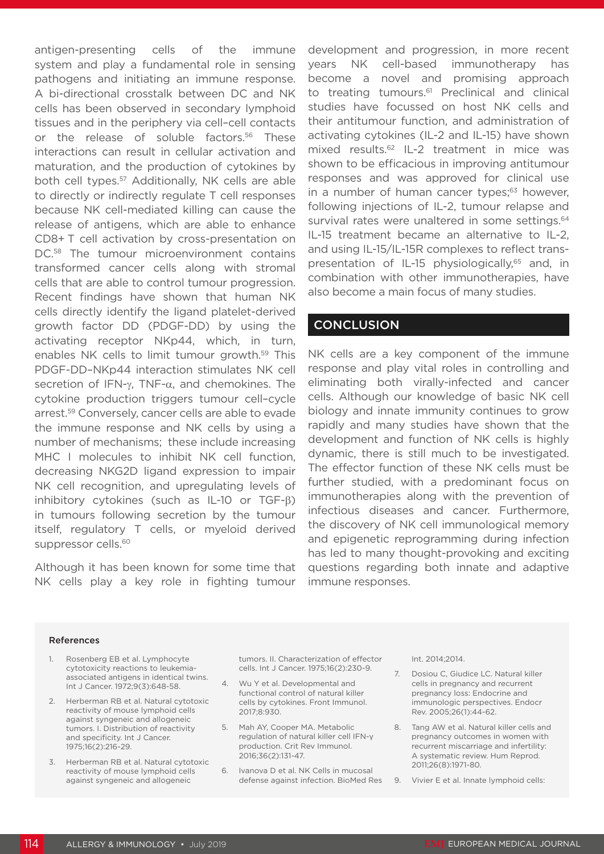antigen-presenting cells of the immune system and play a fundamental role in sensing pathogens and initiating an immune response. A bi-directional crosstalk between DC and NK cells has been observed in secondary lymphoid tissues and in the periphery via cell–cell contacts or the release of soluble factors.<sup>56</sup> These interactions can result in cellular activation and maturation, and the production of cytokines by both cell types.<sup>57</sup> Additionally, NK cells are able to directly or indirectly regulate T cell responses because NK cell-mediated killing can cause the release of antigens, which are able to enhance CD8+ T cell activation by cross-presentation on DC.<sup>58</sup> The tumour microenvironment contains transformed cancer cells along with stromal cells that are able to control tumour progression. Recent findings have shown that human NK cells directly identify the ligand platelet-derived growth factor DD (PDGF-DD) by using the activating receptor NKp44, which, in turn, enables NK cells to limit tumour growth.59 This PDGF-DD–NKp44 interaction stimulates NK cell secretion of IFN-γ, TNF-α, and chemokines. The cytokine production triggers tumour cell–cycle arrest.<sup>59</sup> Conversely, cancer cells are able to evade the immune response and NK cells by using a number of mechanisms; these include increasing MHC I molecules to inhibit NK cell function, decreasing NKG2D ligand expression to impair NK cell recognition, and upregulating levels of inhibitory cytokines (such as IL-10 or TGF-β) in tumours following secretion by the tumour itself, regulatory T cells, or myeloid derived suppressor cells.<sup>60</sup>

Although it has been known for some time that NK cells play a key role in fighting tumour development and progression, in more recent years NK cell-based immunotherapy has become a novel and promising approach to treating tumours.<sup>61</sup> Preclinical and clinical studies have focussed on host NK cells and their antitumour function, and administration of activating cytokines (IL-2 and IL-15) have shown mixed results.<sup>62</sup> IL-2 treatment in mice was shown to be efficacious in improving antitumour responses and was approved for clinical use in a number of human cancer types; $63$  however, following injections of IL-2, tumour relapse and survival rates were unaltered in some settings.<sup>64</sup> IL-15 treatment became an alternative to IL-2, and using IL-15/IL-15R complexes to reflect transpresentation of IL-15 physiologically,<sup>65</sup> and, in combination with other immunotherapies, have also become a main focus of many studies.

# **CONCLUSION**

NK cells are a key component of the immune response and play vital roles in controlling and eliminating both virally-infected and cancer cells. Although our knowledge of basic NK cell biology and innate immunity continues to grow rapidly and many studies have shown that the development and function of NK cells is highly dynamic, there is still much to be investigated. The effector function of these NK cells must be further studied, with a predominant focus on immunotherapies along with the prevention of infectious diseases and cancer. Furthermore, the discovery of NK cell immunological memory and epigenetic reprogramming during infection has led to many thought-provoking and exciting questions regarding both innate and adaptive immune responses.

#### References

- Rosenberg EB et al. Lymphocyte cytotoxicity reactions to leukemiaassociated antigens in identical twins. Int J Cancer. 1972;9(3):648-58.
- 2. Herberman RB et al. Natural cytotoxic reactivity of mouse lymphoid cells against syngeneic and allogeneic tumors. I. Distribution of reactivity and specificity. Int J Cancer. 1975;16(2):216-29.
- 3. Herberman RB et al. Natural cytotoxic reactivity of mouse lymphoid cells against syngeneic and allogeneic

tumors. II. Characterization of effector cells. Int J Cancer. 1975;16(2):230-9.

- 4. Wu Y et al. Developmental and functional control of natural killer cells by cytokines. Front Immunol. 2017;8:930.
- 5. Mah AY, Cooper MA. Metabolic regulation of natural killer cell IFN-γ production. Crit Rev Immunol. 2016;36(2):131-47.
- 6. Ivanova D et al. NK Cells in mucosal defense against infection. BioMed Res

Int. 2014;2014.

- 7. Dosiou C, Giudice LC. Natural killer cells in pregnancy and recurrent pregnancy loss: Endocrine and immunologic perspectives. Endocr Rev. 2005;26(1):44-62.
- 8. Tang AW et al. Natural killer cells and pregnancy outcomes in women with recurrent miscarriage and infertility: A systematic review. Hum Reprod. 2011;26(8):1971-80.
- 9. Vivier E et al. Innate lymphoid cells: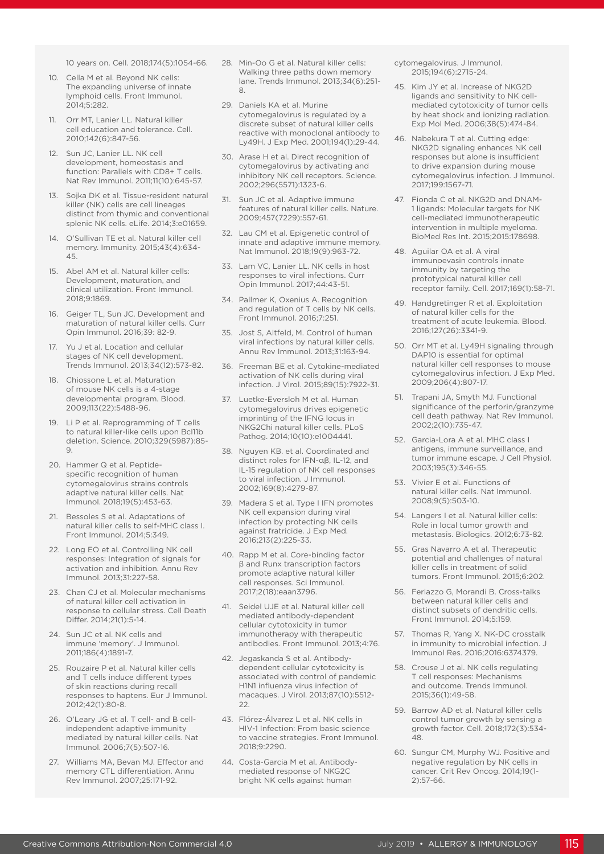10 years on. Cell. 2018;174(5):1054-66.

- 10. Cella M et al. Beyond NK cells: The expanding universe of innate lymphoid cells. Front Immunol. 2014;5:282.
- 11. Orr MT, Lanier LL. Natural killer cell education and tolerance. Cell. 2010;142(6):847-56.
- 12. Sun JC, Lanier LL. NK cell development, homeostasis and function: Parallels with CD8+ T cells. Nat Rev Immunol. 2011;11(10):645-57.
- 13. Sojka DK et al. Tissue-resident natural killer (NK) cells are cell lineages distinct from thymic and conventional splenic NK cells. eLife. 2014;3:e01659.
- 14. O'Sullivan TE et al. Natural killer cell memory. Immunity. 2015;43(4):634- 45.
- 15. Abel AM et al. Natural killer cells: Development, maturation, and clinical utilization. Front Immunol. 2018;9:1869.
- 16. Geiger TL, Sun JC. Development and maturation of natural killer cells. Curr Opin Immunol. 2016;39: 82-9.
- 17. Yu J et al. Location and cellular stages of NK cell development. Trends Immunol. 2013;34(12):573-82.
- 18. Chiossone L et al. Maturation of mouse NK cells is a 4-stage developmental program. Blood. 2009;113(22):5488-96.
- 19. Li P et al. Reprogramming of T cells to natural killer-like cells upon Bcl11b deletion. Science. 2010;329(5987):85- 9.
- 20. Hammer Q et al. Peptidespecific recognition of human cytomegalovirus strains controls adaptive natural killer cells. Nat Immunol. 2018;19(5):453-63.
- 21. Bessoles S et al. Adaptations of natural killer cells to self-MHC class I. Front Immunol. 2014;5:349.
- 22. Long EO et al. Controlling NK cell responses: Integration of signals for activation and inhibition. Annu Rev Immunol. 2013;31:227-58.
- 23. Chan CJ et al. Molecular mechanisms of natural killer cell activation in response to cellular stress. Cell Death Differ. 2014;21(1):5-14.
- 24. Sun JC et al. NK cells and immune 'memory'. J Immunol. 2011;186(4):1891-7.
- 25. Rouzaire P et al. Natural killer cells and T cells induce different types of skin reactions during recall responses to haptens. Eur J Immunol. 2012;42(1):80-8.
- 26. O'Leary JG et al. T cell- and B cellindependent adaptive immunity mediated by natural killer cells. Nat Immunol. 2006;7(5):507-16.
- 27. Williams MA, Bevan MJ. Effector and memory CTL differentiation. Annu Rev Immunol. 2007;25:171-92.
- 28. Min-Oo G et al. Natural killer cells: Walking three paths down memory lane. Trends Immunol. 2013;34(6):251- 8.
- 29. Daniels KA et al. Murine cytomegalovirus is regulated by a discrete subset of natural killer cells reactive with monoclonal antibody to Ly49H. J Exp Med. 2001;194(1):29-44.
- 30. Arase H et al. Direct recognition of cytomegalovirus by activating and inhibitory NK cell receptors. Science. 2002;296(5571):1323-6.
- 31. Sun JC et al. Adaptive immune features of natural killer cells. Nature. 2009;457(7229):557-61.
- 32. Lau CM et al. Epigenetic control of innate and adaptive immune memory. Nat Immunol. 2018;19(9):963-72.
- 33. Lam VC, Lanier LL. NK cells in host responses to viral infections. Curr Opin Immunol. 2017;44:43-51.
- 34. Pallmer K, Oxenius A. Recognition and regulation of T cells by NK cells. Front Immunol. 2016;7:251.
- 35. Jost S, Altfeld, M. Control of human viral infections by natural killer cells. Annu Rev Immunol. 2013;31:163-94.
- 36. Freeman BE et al. Cytokine-mediated activation of NK cells during viral infection. J Virol. 2015;89(15):7922-31.
- 37. Luetke-Eversloh M et al. Human cytomegalovirus drives epigenetic imprinting of the IFNG locus in NKG2Chi natural killer cells. PLoS Pathog. 2014;10(10):e1004441.
- 38. Nguyen KB. et al. Coordinated and distinct roles for IFN-αβ, IL-12, and IL-15 regulation of NK cell responses to viral infection. J Immunol. 2002;169(8):4279-87.
- 39. Madera S et al. Type I IFN promotes NK cell expansion during viral infection by protecting NK cells against fratricide. J Exp Med. 2016;213(2):225-33.
- 40. Rapp M et al. Core-binding factor β and Runx transcription factors promote adaptive natural killer cell responses. Sci Immunol. 2017;2(18):eaan3796.
- 41. Seidel UJE et al. Natural killer cell mediated antibody-dependent cellular cytotoxicity in tumor immunotherapy with therapeutic antibodies. Front Immunol. 2013;4:76.
- 42. Jegaskanda S et al. Antibodydependent cellular cytotoxicity is associated with control of pandemic H1N1 influenza virus infection of macaques. J Virol. 2013;87(10):5512- 22.
- 43. Flórez-Álvarez L et al. NK cells in HIV-1 Infection: From basic science to vaccine strategies. Front Immunol. 2018;9:2290.
- 44. Costa-Garcia M et al. Antibodymediated response of NKG2C bright NK cells against human

cytomegalovirus. J Immunol. 2015;194(6):2715-24.

- 45. Kim JY et al. Increase of NKG2D ligands and sensitivity to NK cellmediated cytotoxicity of tumor cells by heat shock and ionizing radiation. Exp Mol Med. 2006;38(5):474-84.
- 46. Nabekura T et al. Cutting edge: NKG2D signaling enhances NK cell responses but alone is insufficient to drive expansion during mouse cytomegalovirus infection. J Immunol. 2017;199:1567-71.
- 47. Fionda C et al. NKG2D and DNAM-1 ligands: Molecular targets for NK cell-mediated immunotherapeutic intervention in multiple myeloma. BioMed Res Int. 2015;2015:178698.
- 48. Aguilar OA et al. A viral immunoevasin controls innate immunity by targeting the prototypical natural killer cell receptor family. Cell. 2017;169(1):58-71.
- 49. Handgretinger R et al. Exploitation of natural killer cells for the treatment of acute leukemia. Blood. 2016;127(26):3341-9.
- 50. Orr MT et al. Ly49H signaling through DAP10 is essential for optimal natural killer cell responses to mouse cytomegalovirus infection. J Exp Med. 2009;206(4):807-17.
- 51. Trapani JA, Smyth MJ. Functional significance of the perforin/granzyme cell death pathway. Nat Rev Immunol. 2002;2(10):735-47.
- 52. Garcia-Lora A et al. MHC class I antigens, immune surveillance, and tumor immune escape. J Cell Physiol. 2003;195(3):346-55.
- 53. Vivier E et al. Functions of natural killer cells. Nat Immunol. 2008;9(5):503-10.
- 54. Langers I et al. Natural killer cells: Role in local tumor growth and metastasis. Biologics. 2012;6:73-82.
- 55. Gras Navarro A et al. Therapeutic potential and challenges of natural killer cells in treatment of solid tumors. Front Immunol. 2015;6:202.
- 56. Ferlazzo G, Morandi B. Cross-talks between natural killer cells and distinct subsets of dendritic cells. Front Immunol. 2014;5:159.
- 57. Thomas R, Yang X. NK-DC crosstalk in immunity to microbial infection. J Immunol Res. 2016;2016:6374379.
- 58. Crouse J et al. NK cells regulating T cell responses: Mechanisms and outcome. Trends Immunol. 2015;36(1):49-58.
- 59. Barrow AD et al. Natural killer cells control tumor growth by sensing a growth factor. Cell. 2018;172(3):534- 48.
- 60. Sungur CM, Murphy WJ. Positive and negative regulation by NK cells in cancer. Crit Rev Oncog. 2014;19(1- 2):57-66.